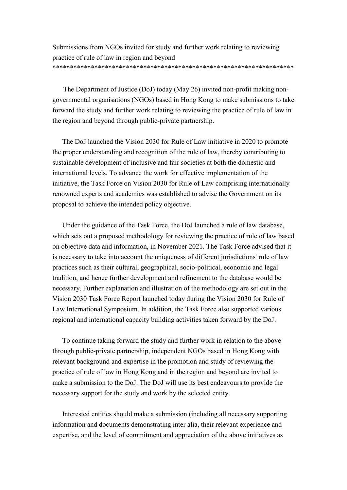Submissions from NGOs invited for study and further work relating to reviewing practice of rule of law in region and beyond \*\*\*\*\*\*\*\*\*\*\*\*\*\*\*\*\*\*\*\*\*\*\*\*\*\*\*\*\*\*\*\*\*\*\*\*\*\*\*\*\*\*\*\*\*\*\*\*\*\*\*\*\*\*\*\*\*\*\*\*\*\*\*\*\*\*\*\*\*

The Department of Justice (DoJ) today (May 26) invited non-profit making nongovernmental organisations (NGOs) based in Hong Kong to make submissions to take forward the study and further work relating to reviewing the practice of rule of law in the region and beyond through public-private partnership.

The DoJ launched the Vision 2030 for Rule of Law initiative in 2020 to promote the proper understanding and recognition of the rule of law, thereby contributing to sustainable development of inclusive and fair societies at both the domestic and international levels. To advance the work for effective implementation of the initiative, the Task Force on Vision 2030 for Rule of Law comprising internationally renowned experts and academics was established to advise the Government on its proposal to achieve the intended policy objective.

Under the guidance of the Task Force, the DoJ launched a rule of law database, which sets out a proposed methodology for reviewing the practice of rule of law based on objective data and information, in November 2021. The Task Force advised that it is necessary to take into account the uniqueness of different jurisdictions' rule of law practices such as their cultural, geographical, socio-political, economic and legal tradition, and hence further development and refinement to the database would be necessary. Further explanation and illustration of the methodology are set out in the Vision 2030 Task Force Report launched today during the Vision 2030 for Rule of Law International Symposium. In addition, the Task Force also supported various regional and international capacity building activities taken forward by the DoJ.

To continue taking forward the study and further work in relation to the above through public-private partnership, independent NGOs based in Hong Kong with relevant background and expertise in the promotion and study of reviewing the practice of rule of law in Hong Kong and in the region and beyond are invited to make a submission to the DoJ. The DoJ will use its best endeavours to provide the necessary support for the study and work by the selected entity.

Interested entities should make a submission (including all necessary supporting information and documents demonstrating inter alia, their relevant experience and expertise, and the level of commitment and appreciation of the above initiatives as